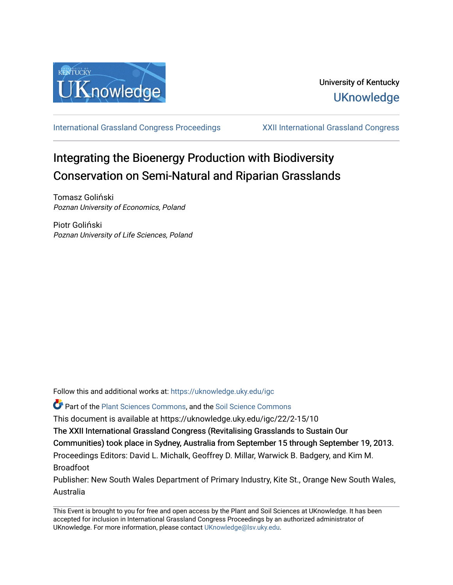

[International Grassland Congress Proceedings](https://uknowledge.uky.edu/igc) [XXII International Grassland Congress](https://uknowledge.uky.edu/igc/22) 

# Integrating the Bioenergy Production with Biodiversity Conservation on Semi-Natural and Riparian Grasslands

Tomasz Goliński Poznan University of Economics, Poland

Piotr Goliński Poznan University of Life Sciences, Poland

Follow this and additional works at: [https://uknowledge.uky.edu/igc](https://uknowledge.uky.edu/igc?utm_source=uknowledge.uky.edu%2Figc%2F22%2F2-15%2F10&utm_medium=PDF&utm_campaign=PDFCoverPages) 

Part of the [Plant Sciences Commons](http://network.bepress.com/hgg/discipline/102?utm_source=uknowledge.uky.edu%2Figc%2F22%2F2-15%2F10&utm_medium=PDF&utm_campaign=PDFCoverPages), and the [Soil Science Commons](http://network.bepress.com/hgg/discipline/163?utm_source=uknowledge.uky.edu%2Figc%2F22%2F2-15%2F10&utm_medium=PDF&utm_campaign=PDFCoverPages) 

This document is available at https://uknowledge.uky.edu/igc/22/2-15/10

The XXII International Grassland Congress (Revitalising Grasslands to Sustain Our

Communities) took place in Sydney, Australia from September 15 through September 19, 2013.

Proceedings Editors: David L. Michalk, Geoffrey D. Millar, Warwick B. Badgery, and Kim M. Broadfoot

Publisher: New South Wales Department of Primary Industry, Kite St., Orange New South Wales, Australia

This Event is brought to you for free and open access by the Plant and Soil Sciences at UKnowledge. It has been accepted for inclusion in International Grassland Congress Proceedings by an authorized administrator of UKnowledge. For more information, please contact [UKnowledge@lsv.uky.edu](mailto:UKnowledge@lsv.uky.edu).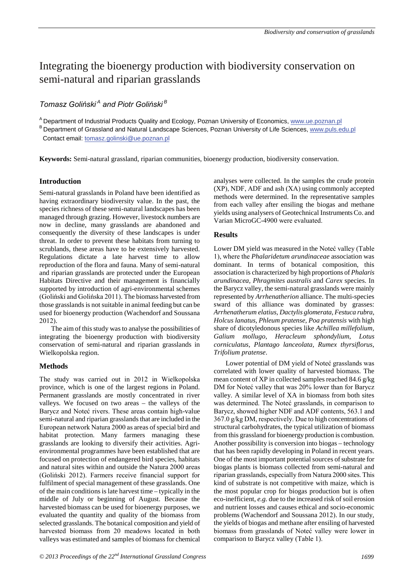## Integrating the bioenergy production with biodiversity conservation on semi-natural and riparian grasslands

### *Tomasz Goliński<sup>A</sup> and Piotr Goliński<sup>B</sup>*

A Department of Industrial Products Quality and Ecology, Poznan University of Economics, www.ue.poznan.pl

B Department of Grassland and Natural Landscape Sciences, Poznan University of Life Sciences, www.puls.edu.pl Contact email: tomasz.golinski@ue.poznan.pl

**Keywords:** Semi-natural grassland, riparian communities, bioenergy production, biodiversity conservation.

#### **Introduction**

Semi-natural grasslands in Poland have been identified as having extraordinary biodiversity value. In the past, the species richness of these semi-natural landscapes has been managed through grazing. However, livestock numbers are now in decline, many grasslands are abandoned and consequently the diversity of these landscapes is under threat. In order to prevent these habitats from turning to scrublands, these areas have to be extensively harvested. Regulations dictate a late harvest time to allow reproduction of the flora and fauna. Many of semi-natural and riparian grasslands are protected under the European Habitats Directive and their management is financially supported by introduction of agri-environmental schemes (Goliński and Golińska 2011). The biomass harvested from those grasslands is not suitable in animal feeding but can be used for bioenergy production (Wachendorf and Soussana 2012).

The aim of this study was to analyse the possibilities of integrating the bioenergy production with biodiversity conservation of semi-natural and riparian grasslands in Wielkopolska region.

#### **Methods**

The study was carried out in 2012 in Wielkopolska province, which is one of the largest regions in Poland. Permanent grasslands are mostly concentrated in river valleys. We focused on two areas – the valleys of the Barycz and Noteć rivers. These areas contain high-value semi-natural and riparian grasslands that are included in the European network Natura 2000 as areas of special bird and habitat protection. Many farmers managing these grasslands are looking to diversify their activities. Agrienvironmental programmes have been established that are focused on protection of endangered bird species, habitats and natural sites within and outside the Natura 2000 areas (Goliński 2012). Farmers receive financial support for fulfilment of special management of these grasslands. One of the main conditions is late harvest time – typically in the middle of July or beginning of August. Because the harvested biomass can be used for bioenergy purposes, we evaluated the quantity and quality of the biomass from selected grasslands. The botanical composition and yield of harvested biomass from 20 meadows located in both valleys was estimated and samples of biomass for chemical

analyses were collected. In the samples the crude protein (XP), NDF, ADF and ash (XA) using commonly accepted methods were determined. In the representative samples from each valley after ensiling the biogas and methane yields using analysers of Geotechnical Instruments Co. and Varian MicroGC-4900 were evaluated.

#### **Results**

Lower DM yield was measured in the Noteć valley (Table 1), where the *Phalaridetum arundinaceae* association was dominant. In terms of botanical composition, this association is characterized by high proportions of *Phalaris arundinacea, Phragmites australis* and *Carex* species. In the Barycz valley, the semi-natural grasslands were mainly represented by *Arrhenatherion* alliance. The multi-species sward of this alliance was dominated by grasses: *Arrhenatherum elatius*, *Dactylis glomerata, Festuca rubra, Holcus lanatus, Phleum pratense, Poa pratensis* with high share of dicotyledonous species like *Achillea millefolium, Galium mollugo*, *Heracleum sphondylium*, *Lotus corniculatus*, *Plantago lanceolata, Rumex thyrsiflorus, Trifolium pratense*.

Lower potential of DM yield of Noteć grasslands was correlated with lower quality of harvested biomass. The mean content of XP in collected samples reached 84.6 g/kg DM for Noteć valley that was 20% lower than for Barycz valley. A similar level of XA in biomass from both sites was determined. The Noteć grasslands, in comparison to Barycz, showed higher NDF and ADF contents, 563.1 and 367.0 g/kg DM, respectively. Due to high concentrations of structural carbohydrates, the typical utilization of biomass from this grassland for bioenergy production is combustion. Another possibility is conversion into biogas – technology that has been rapidly developing in Poland in recent years. One of the most important potential sources of substrate for biogas plants is biomass collected from semi-natural and riparian grasslands, especially from Natura 2000 sites. This kind of substrate is not competitive with maize, which is the most popular crop for biogas production but is often eco-inefficient, *e.g.* due to the increased risk of soil erosion and nutrient losses and causes ethical and socio-economic problems (Wachendorf and Soussana 2012). In our study, the yields of biogas and methane after ensiling of harvested biomass from grasslands of Noteć valley were lower in comparison to Barycz valley (Table 1).